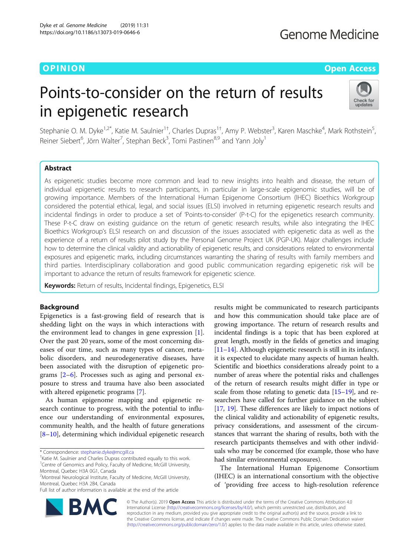# **Genome Medicine**

# O PINION Open Access

# Points-to-consider on the return of results in epigenetic research



Stephanie O. M. Dyke<sup>1,2\*</sup>, Katie M. Saulnier<sup>1†</sup>, Charles Dupras<sup>1†</sup>, Amy P. Webster<sup>3</sup>, Karen Maschke<sup>4</sup>, Mark Rothstein<sup>5</sup> , Reiner Siebert<sup>6</sup>, Jörn Walter<sup>7</sup>, Stephan Beck<sup>3</sup>, Tomi Pastinen<sup>8,9</sup> and Yann Joly<sup>1</sup>

# Abstract

As epigenetic studies become more common and lead to new insights into health and disease, the return of individual epigenetic results to research participants, in particular in large-scale epigenomic studies, will be of growing importance. Members of the International Human Epigenome Consortium (IHEC) Bioethics Workgroup considered the potential ethical, legal, and social issues (ELSI) involved in returning epigenetic research results and incidental findings in order to produce a set of 'Points-to-consider' (P-t-C) for the epigenetics research community. These P-t-C draw on existing guidance on the return of genetic research results, while also integrating the IHEC Bioethics Workgroup's ELSI research on and discussion of the issues associated with epigenetic data as well as the experience of a return of results pilot study by the Personal Genome Project UK (PGP-UK). Major challenges include how to determine the clinical validity and actionability of epigenetic results, and considerations related to environmental exposures and epigenetic marks, including circumstances warranting the sharing of results with family members and third parties. Interdisciplinary collaboration and good public communication regarding epigenetic risk will be important to advance the return of results framework for epigenetic science.

Keywords: Return of results, Incidental findings, Epigenetics, ELSI

# **Background**

Epigenetics is a fast-growing field of research that is shedding light on the ways in which interactions with the environment lead to changes in gene expression [\[1](#page-6-0)]. Over the past 20 years, some of the most concerning diseases of our time, such as many types of cancer, metabolic disorders, and neurodegenerative diseases, have been associated with the disruption of epigenetic programs [[2](#page-6-0)–[6\]](#page-6-0). Processes such as aging and personal exposure to stress and trauma have also been associated with altered epigenetic programs [\[7](#page-6-0)].

As human epigenome mapping and epigenetic research continue to progress, with the potential to influence our understanding of environmental exposures, community health, and the health of future generations [[8](#page-6-0)–[10\]](#page-6-0), determining which individual epigenetic research

\* Correspondence: [stephanie.dyke@mcgill.ca](mailto:stephanie.dyke@mcgill.ca) †

<sup>+</sup>Katie M. Saulnier and Charles Dupras contributed equally to this work. <sup>1</sup> Centre of Genomics and Policy, Faculty of Medicine, McGill University, Montreal, Quebec H3A 0G1, Canada

Full list of author information is available at the end of the article



The International Human Epigenome Consortium (IHEC) is an international consortium with the objective of 'providing free access to high-resolution reference



© The Author(s). 2019 Open Access This article is distributed under the terms of the Creative Commons Attribution 4.0 International License [\(http://creativecommons.org/licenses/by/4.0/](http://creativecommons.org/licenses/by/4.0/)), which permits unrestricted use, distribution, and reproduction in any medium, provided you give appropriate credit to the original author(s) and the source, provide a link to the Creative Commons license, and indicate if changes were made. The Creative Commons Public Domain Dedication waiver [\(http://creativecommons.org/publicdomain/zero/1.0/](http://creativecommons.org/publicdomain/zero/1.0/)) applies to the data made available in this article, unless otherwise stated.

<sup>&</sup>lt;sup>2</sup> Montreal Neurological Institute, Faculty of Medicine, McGill University, Montreal, Quebec H3A 2B4, Canada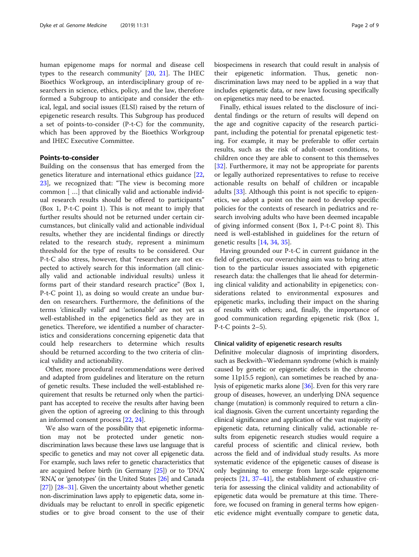human epigenome maps for normal and disease cell types to the research community' [\[20](#page-7-0), [21](#page-7-0)]. The IHEC Bioethics Workgroup, an interdisciplinary group of researchers in science, ethics, policy, and the law, therefore formed a Subgroup to anticipate and consider the ethical, legal, and social issues (ELSI) raised by the return of epigenetic research results. This Subgroup has produced a set of points-to-consider (P-t-C) for the community, which has been approved by the Bioethics Workgroup and IHEC Executive Committee.

# Points-to-consider

Building on the consensus that has emerged from the genetics literature and international ethics guidance [[22](#page-7-0), [23\]](#page-7-0), we recognized that: "The view is becoming more common [ …] that clinically valid and actionable individual research results should be offered to participants" (Box 1, P-t-C point 1). This is not meant to imply that further results should not be returned under certain circumstances, but clinically valid and actionable individual results, whether they are incidental findings or directly related to the research study, represent a minimum threshold for the type of results to be considered. Our P-t-C also stress, however, that "researchers are not expected to actively search for this information (all clinically valid and actionable individual results) unless it forms part of their standard research practice" (Box 1, P-t-C point 1), as doing so would create an undue burden on researchers. Furthermore, the definitions of the terms 'clinically valid' and 'actionable' are not yet as well-established in the epigenetics field as they are in genetics. Therefore, we identified a number of characteristics and considerations concerning epigenetic data that could help researchers to determine which results should be returned according to the two criteria of clinical validity and actionability.

Other, more procedural recommendations were derived and adapted from guidelines and literature on the return of genetic results. These included the well-established requirement that results be returned only when the participant has accepted to receive the results after having been given the option of agreeing or declining to this through an informed consent process [[22](#page-7-0), [24](#page-7-0)].

We also warn of the possibility that epigenetic information may not be protected under genetic nondiscrimination laws because these laws use language that is specific to genetics and may not cover all epigenetic data. For example, such laws refer to genetic characteristics that are acquired before birth (in Germany [\[25](#page-7-0)]) or to 'DNA,' 'RNA', or 'genotypes' (in the United States [[26](#page-7-0)] and Canada [[27](#page-7-0)]) [\[28](#page-7-0)–[31\]](#page-7-0). Given the uncertainty about whether genetic non-discrimination laws apply to epigenetic data, some individuals may be reluctant to enroll in specific epigenetic studies or to give broad consent to the use of their biospecimens in research that could result in analysis of their epigenetic information. Thus, genetic nondiscrimination laws may need to be applied in a way that includes epigenetic data, or new laws focusing specifically on epigenetics may need to be enacted.

Finally, ethical issues related to the disclosure of incidental findings or the return of results will depend on the age and cognitive capacity of the research participant, including the potential for prenatal epigenetic testing. For example, it may be preferable to offer certain results, such as the risk of adult-onset conditions, to children once they are able to consent to this themselves [[32\]](#page-7-0). Furthermore, it may not be appropriate for parents or legally authorized representatives to refuse to receive actionable results on behalf of children or incapable adults [\[33](#page-7-0)]. Although this point is not specific to epigenetics, we adopt a point on the need to develop specific policies for the contexts of research in pediatrics and research involving adults who have been deemed incapable of giving informed consent (Box 1, P-t-C point 8). This need is well-established in guidelines for the return of genetic results [[14](#page-6-0), [34](#page-7-0), [35](#page-7-0)].

Having grounded our P-t-C in current guidance in the field of genetics, our overarching aim was to bring attention to the particular issues associated with epigenetic research data: the challenges that lie ahead for determining clinical validity and actionability in epigenetics; considerations related to environmental exposures and epigenetic marks, including their impact on the sharing of results with others; and, finally, the importance of good communication regarding epigenetic risk (Box 1, P-t-C points 2–5).

#### Clinical validity of epigenetic research results

Definitive molecular diagnosis of imprinting disorders, such as Beckwith–Wiedemann syndrome (which is mainly caused by genetic or epigenetic defects in the chromosome 11p15.5 region), can sometimes be reached by analysis of epigenetic marks alone [\[36](#page-7-0)]. Even for this very rare group of diseases, however, an underlying DNA sequence change (mutation) is commonly required to return a clinical diagnosis. Given the current uncertainty regarding the clinical significance and application of the vast majority of epigenetic data, returning clinically valid, actionable results from epigenetic research studies would require a careful process of scientific and clinical review, both across the field and of individual study results. As more systematic evidence of the epigenetic causes of disease is only beginning to emerge from large-scale epigenome projects [\[21,](#page-7-0) [37](#page-7-0)–[41\]](#page-7-0), the establishment of exhaustive criteria for assessing the clinical validity and actionability of epigenetic data would be premature at this time. Therefore, we focused on framing in general terms how epigenetic evidence might eventually compare to genetic data,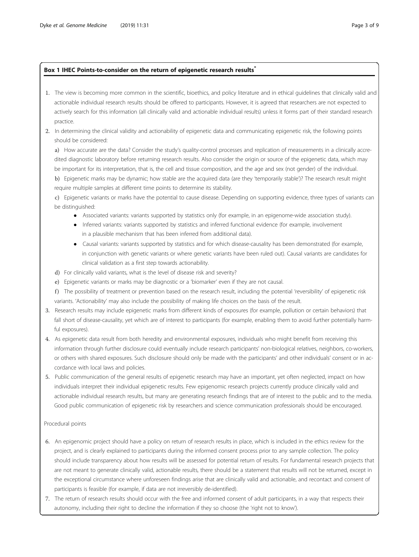# Box 1 IHEC Points-to-consider on the return of epigenetic research results<sup>\*</sup>

- 1. The view is becoming more common in the scientific, bioethics, and policy literature and in ethical guidelines that clinically valid and actionable individual research results should be offered to participants. However, it is agreed that researchers are not expected to actively search for this information (all clinically valid and actionable individual results) unless it forms part of their standard research practice.
- 2. In determining the clinical validity and actionability of epigenetic data and communicating epigenetic risk, the following points should be considered:

a) How accurate are the data? Consider the study's quality-control processes and replication of measurements in a clinically accredited diagnostic laboratory before returning research results. Also consider the origin or source of the epigenetic data, which may be important for its interpretation, that is, the cell and tissue composition, and the age and sex (not gender) of the individual.

b) Epigenetic marks may be dynamic; how stable are the acquired data (are they 'temporarily stable')? The research result might require multiple samples at different time points to determine its stability.

c) Epigenetic variants or marks have the potential to cause disease. Depending on supporting evidence, three types of variants can be distinguished:

- Associated variants: variants supported by statistics only (for example, in an epigenome-wide association study).
- Inferred variants: variants supported by statistics and inferred functional evidence (for example, involvement in a plausible mechanism that has been inferred from additional data).
- Causal variants: variants supported by statistics and for which disease-causality has been demonstrated (for example, in conjunction with genetic variants or where genetic variants have been ruled out). Causal variants are candidates for clinical validation as a first step towards actionability.
- d) For clinically valid variants, what is the level of disease risk and severity?
- e) Epigenetic variants or marks may be diagnostic or a 'biomarker' even if they are not causal.
- f ) The possibility of treatment or prevention based on the research result, including the potential 'reversibility' of epigenetic risk variants. 'Actionability' may also include the possibility of making life choices on the basis of the result.
- 3. Research results may include epigenetic marks from different kinds of exposures (for example, pollution or certain behaviors) that fall short of disease-causality, yet which are of interest to participants (for example, enabling them to avoid further potentially harmful exposures).
- 4. As epigenetic data result from both heredity and environmental exposures, individuals who might benefit from receiving this information through further disclosure could eventually include research participants' non-biological relatives, neighbors, co-workers, or others with shared exposures. Such disclosure should only be made with the participants' and other individuals' consent or in accordance with local laws and policies.
- 5. Public communication of the general results of epigenetic research may have an important, yet often neglected, impact on how individuals interpret their individual epigenetic results. Few epigenomic research projects currently produce clinically valid and actionable individual research results, but many are generating research findings that are of interest to the public and to the media. Good public communication of epigenetic risk by researchers and science communication professionals should be encouraged.

# Procedural points

- 6. An epigenomic project should have a policy on return of research results in place, which is included in the ethics review for the project, and is clearly explained to participants during the informed consent process prior to any sample collection. The policy should include transparency about how results will be assessed for potential return of results. For fundamental research projects that are not meant to generate clinically valid, actionable results, there should be a statement that results will not be returned, except in the exceptional circumstance where unforeseen findings arise that are clinically valid and actionable, and recontact and consent of participants is feasible (for example, if data are not irreversibly de-identified).
- 7. The return of research results should occur with the free and informed consent of adult participants, in a way that respects their autonomy, including their right to decline the information if they so choose (the 'right not to know').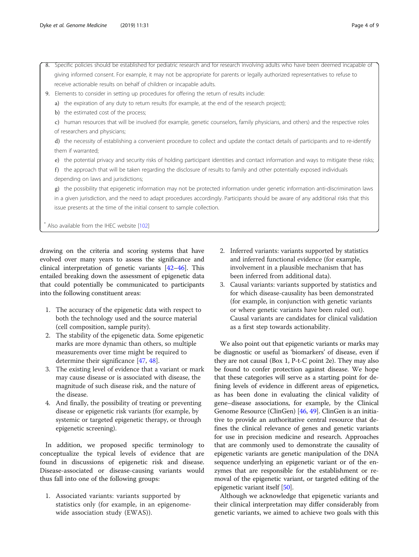- 9. Elements to consider in setting up procedures for offering the return of results include:
	- a) the expiration of any duty to return results (for example, at the end of the research project);
	- b) the estimated cost of the process;

c) human resources that will be involved (for example, genetic counselors, family physicians, and others) and the respective roles of researchers and physicians;

d) the necessity of establishing a convenient procedure to collect and update the contact details of participants and to re-identify them if warranted;

e) the potential privacy and security risks of holding participant identities and contact information and ways to mitigate these risks;

f) the approach that will be taken regarding the disclosure of results to family and other potentially exposed individuals depending on laws and jurisdictions;

g) the possibility that epigenetic information may not be protected information under genetic information anti-discrimination laws in a given jurisdiction, and the need to adapt procedures accordingly. Participants should be aware of any additional risks that this issue presents at the time of the initial consent to sample collection.

Also available from the IHEC website [\[102](#page-8-0)]

drawing on the criteria and scoring systems that have evolved over many years to assess the significance and clinical interpretation of genetic variants [\[42](#page-7-0)–[46](#page-7-0)]. This entailed breaking down the assessment of epigenetic data that could potentially be communicated to participants into the following constituent areas:

- 1. The accuracy of the epigenetic data with respect to both the technology used and the source material (cell composition, sample purity).
- 2. The stability of the epigenetic data. Some epigenetic marks are more dynamic than others, so multiple measurements over time might be required to determine their significance [\[47,](#page-7-0) [48\]](#page-7-0).
- 3. The existing level of evidence that a variant or mark may cause disease or is associated with disease, the magnitude of such disease risk, and the nature of the disease.
- 4. And finally, the possibility of treating or preventing disease or epigenetic risk variants (for example, by systemic or targeted epigenetic therapy, or through epigenetic screening).

In addition, we proposed specific terminology to conceptualize the typical levels of evidence that are found in discussions of epigenetic risk and disease. Disease-associated or disease-causing variants would thus fall into one of the following groups:

1. Associated variants: variants supported by statistics only (for example, in an epigenomewide association study (EWAS)).

- 2. Inferred variants: variants supported by statistics and inferred functional evidence (for example, involvement in a plausible mechanism that has been inferred from additional data).
- 3. Causal variants: variants supported by statistics and for which disease-causality has been demonstrated (for example, in conjunction with genetic variants or where genetic variants have been ruled out). Causal variants are candidates for clinical validation as a first step towards actionability.

We also point out that epigenetic variants or marks may be diagnostic or useful as 'biomarkers' of disease, even if they are not causal (Box 1, P-t-C point 2e). They may also be found to confer protection against disease. We hope that these categories will serve as a starting point for defining levels of evidence in different areas of epigenetics, as has been done in evaluating the clinical validity of gene–disease associations, for example, by the Clinical Genome Resource (ClinGen) [\[46,](#page-7-0) [49\]](#page-7-0). ClinGen is an initiative to provide an authoritative central resource that defines the clinical relevance of genes and genetic variants for use in precision medicine and research. Approaches that are commonly used to demonstrate the causality of epigenetic variants are genetic manipulation of the DNA sequence underlying an epigenetic variant or of the enzymes that are responsible for the establishment or removal of the epigenetic variant, or targeted editing of the epigenetic variant itself [[50](#page-7-0)].

Although we acknowledge that epigenetic variants and their clinical interpretation may differ considerably from genetic variants, we aimed to achieve two goals with this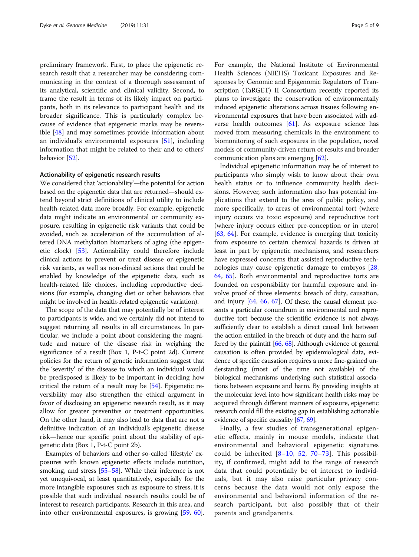preliminary framework. First, to place the epigenetic research result that a researcher may be considering communicating in the context of a thorough assessment of its analytical, scientific and clinical validity. Second, to frame the result in terms of its likely impact on participants, both in its relevance to participant health and its broader significance. This is particularly complex because of evidence that epigenetic marks may be reversible [\[48\]](#page-7-0) and may sometimes provide information about an individual's environmental exposures [[51\]](#page-7-0), including information that might be related to their and to others' behavior [[52\]](#page-7-0).

### Actionability of epigenetic research results

We considered that 'actionability'—the potential for action based on the epigenetic data that are returned—should extend beyond strict definitions of clinical utility to include health-related data more broadly. For example, epigenetic data might indicate an environmental or community exposure, resulting in epigenetic risk variants that could be avoided, such as acceleration of the accumulation of altered DNA methylation biomarkers of aging (the epigenetic clock) [\[53\]](#page-7-0). Actionability could therefore include clinical actions to prevent or treat disease or epigenetic risk variants, as well as non-clinical actions that could be enabled by knowledge of the epigenetic data, such as health-related life choices, including reproductive decisions (for example, changing diet or other behaviors that might be involved in health-related epigenetic variation).

The scope of the data that may potentially be of interest to participants is wide, and we certainly did not intend to suggest returning all results in all circumstances. In particular, we include a point about considering the magnitude and nature of the disease risk in weighing the significance of a result (Box 1, P-t-C point 2d). Current policies for the return of genetic information suggest that the 'severity' of the disease to which an individual would be predisposed is likely to be important in deciding how critical the return of a result may be [\[54\]](#page-7-0). Epigenetic reversibility may also strengthen the ethical argument in favor of disclosing an epigenetic research result, as it may allow for greater preventive or treatment opportunities. On the other hand, it may also lead to data that are not a definitive indication of an individual's epigenetic disease risk—hence our specific point about the stability of epigenetic data (Box 1, P-t-C point 2b).

Examples of behaviors and other so-called 'lifestyle' exposures with known epigenetic effects include nutrition, smoking, and stress [\[55](#page-7-0)–[58](#page-7-0)]. While their inference is not yet unequivocal, at least quantitatively, especially for the more intangible exposures such as exposure to stress, it is possible that such individual research results could be of interest to research participants. Research in this area, and into other environmental exposures, is growing [[59,](#page-7-0) [60](#page-7-0)].

For example, the National Institute of Environmental Health Sciences (NIEHS) Toxicant Exposures and Responses by Genomic and Epigenomic Regulators of Transcription (TaRGET) II Consortium recently reported its plans to investigate the conservation of environmentally induced epigenetic alterations across tissues following environmental exposures that have been associated with adverse health outcomes [\[61\]](#page-7-0). As exposure science has moved from measuring chemicals in the environment to biomonitoring of such exposures in the population, novel models of community-driven return of results and broader communication plans are emerging [[62\]](#page-7-0).

Individual epigenetic information may be of interest to participants who simply wish to know about their own health status or to influence community health decisions. However, such information also has potential implications that extend to the area of public policy, and more specifically, to areas of environmental tort (where injury occurs via toxic exposure) and reproductive tort (where injury occurs either pre-conception or in utero) [[63,](#page-7-0) [64](#page-7-0)]. For example, evidence is emerging that toxicity from exposure to certain chemical hazards is driven at least in part by epigenetic mechanisms, and researchers have expressed concerns that assisted reproductive technologies may cause epigenetic damage to embryos [[28](#page-7-0), [64,](#page-7-0) [65\]](#page-8-0). Both environmental and reproductive torts are founded on responsibility for harmful exposure and involve proof of three elements: breach of duty, causation, and injury  $[64, 66, 67]$  $[64, 66, 67]$  $[64, 66, 67]$  $[64, 66, 67]$  $[64, 66, 67]$ . Of these, the causal element presents a particular conundrum in environmental and reproductive tort because the scientific evidence is not always sufficiently clear to establish a direct causal link between the action entailed in the breach of duty and the harm suffered by the plaintiff [[66](#page-8-0), [68\]](#page-8-0). Although evidence of general causation is often provided by epidemiological data, evidence of specific causation requires a more fine-grained understanding (most of the time not available) of the biological mechanisms underlying such statistical associations between exposure and harm. By providing insights at the molecular level into how significant health risks may be acquired through different manners of exposure, epigenetic research could fill the existing gap in establishing actionable evidence of specific causality [[67](#page-8-0), [69](#page-8-0)].

Finally, a few studies of transgenerational epigenetic effects, mainly in mouse models, indicate that environmental and behavioral epigenetic signatures could be inherited  $[8-10, 52, 70-73]$  $[8-10, 52, 70-73]$  $[8-10, 52, 70-73]$  $[8-10, 52, 70-73]$  $[8-10, 52, 70-73]$  $[8-10, 52, 70-73]$  $[8-10, 52, 70-73]$  $[8-10, 52, 70-73]$  $[8-10, 52, 70-73]$  $[8-10, 52, 70-73]$  $[8-10, 52, 70-73]$ . This possibility, if confirmed, might add to the range of research data that could potentially be of interest to individuals, but it may also raise particular privacy concerns because the data would not only expose the environmental and behavioral information of the research participant, but also possibly that of their parents and grandparents.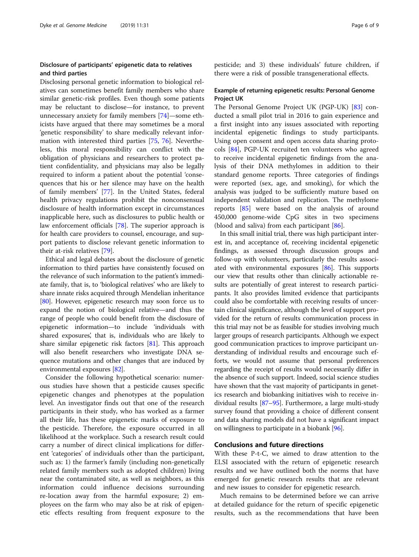# Disclosure of participants' epigenetic data to relatives and third parties

Disclosing personal genetic information to biological relatives can sometimes benefit family members who share similar genetic-risk profiles. Even though some patients may be reluctant to disclose—for instance, to prevent unnecessary anxiety for family members [[74](#page-8-0)]—some ethicists have argued that there may sometimes be a moral 'genetic responsibility' to share medically relevant information with interested third parties [\[75](#page-8-0), [76](#page-8-0)]. Nevertheless, this moral responsibility can conflict with the obligation of physicians and researchers to protect patient confidentiality, and physicians may also be legally required to inform a patient about the potential 'consequences that his or her silence may have on the health of family members' [\[77](#page-8-0)]. In the United States, federal health privacy regulations prohibit the nonconsensual disclosure of health information except in circumstances inapplicable here, such as disclosures to public health or law enforcement officials [\[78\]](#page-8-0). The superior approach is for health care providers to counsel, encourage, and support patients to disclose relevant genetic information to their at-risk relatives [\[79\]](#page-8-0).

Ethical and legal debates about the disclosure of genetic information to third parties have consistently focused on the relevance of such information to the patient's immediate family, that is, to 'biological relatives' who are likely to share innate risks acquired through Mendelian inheritance [[80](#page-8-0)]. However, epigenetic research may soon force us to expand the notion of biological relative—and thus the range of people who could benefit from the disclosure of epigenetic information—to include 'individuals with shared exposures', that is, individuals who are likely to share similar epigenetic risk factors [\[81\]](#page-8-0). This approach will also benefit researchers who investigate DNA sequence mutations and other changes that are induced by environmental exposures [[82](#page-8-0)].

Consider the following hypothetical scenario: numerous studies have shown that a pesticide causes specific epigenetic changes and phenotypes at the population level. An investigator finds out that one of the research participants in their study, who has worked as a farmer all their life, has these epigenetic marks of exposure to the pesticide. Therefore, the exposure occurred in all likelihood at the workplace. Such a research result could carry a number of direct clinical implications for different 'categories' of individuals other than the participant, such as: 1) the farmer's family (including non-genetically related family members such as adopted children) living near the contaminated site, as well as neighbors, as this information could influence decisions surrounding re-location away from the harmful exposure; 2) employees on the farm who may also be at risk of epigenetic effects resulting from frequent exposure to the

pesticide; and 3) these individuals' future children, if there were a risk of possible transgenerational effects.

# Example of returning epigenetic results: Personal Genome Project UK

The Personal Genome Project UK (PGP-UK) [[83\]](#page-8-0) conducted a small pilot trial in 2016 to gain experience and a first insight into any issues associated with reporting incidental epigenetic findings to study participants. Using open consent and open access data sharing protocols [[84\]](#page-8-0), PGP-UK recruited ten volunteers who agreed to receive incidental epigenetic findings from the analysis of their DNA methylomes in addition to their standard genome reports. Three categories of findings were reported (sex, age, and smoking), for which the analysis was judged to be sufficiently mature based on independent validation and replication. The methylome reports [[85\]](#page-8-0) were based on the analysis of around 450,000 genome-wide CpG sites in two specimens (blood and saliva) from each participant [[86\]](#page-8-0).

In this small initial trial, there was high participant interest in, and acceptance of, receiving incidental epigenetic findings, as assessed through discussion groups and follow-up with volunteers, particularly the results associated with environmental exposures [[86](#page-8-0)]. This supports our view that results other than clinically actionable results are potentially of great interest to research participants. It also provides limited evidence that participants could also be comfortable with receiving results of uncertain clinical significance, although the level of support provided for the return of results communication process in this trial may not be as feasible for studies involving much larger groups of research participants. Although we expect good communication practices to improve participant understanding of individual results and encourage such efforts, we would not assume that personal preferences regarding the receipt of results would necessarily differ in the absence of such support. Indeed, social science studies have shown that the vast majority of participants in genetics research and biobanking initiatives wish to receive individual results [\[87](#page-8-0)–[95](#page-8-0)]. Furthermore, a large multi-study survey found that providing a choice of different consent and data sharing models did not have a significant impact on willingness to participate in a biobank [[96](#page-8-0)].

# Conclusions and future directions

With these P-t-C, we aimed to draw attention to the ELSI associated with the return of epigenetic research results and we have outlined both the norms that have emerged for genetic research results that are relevant and new issues to consider for epigenetic research.

Much remains to be determined before we can arrive at detailed guidance for the return of specific epigenetic results, such as the recommendations that have been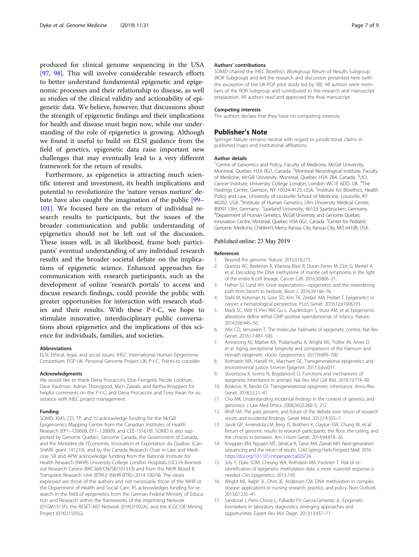<span id="page-6-0"></span>produced for clinical genome sequencing in the USA [[97,](#page-8-0) [98](#page-8-0)]. This will involve considerable research efforts to better understand fundamental epigenetic and epigenomic processes and their relationship to disease, as well as studies of the clinical validity and actionability of epigenetic data. We believe, however, that discussions about the strength of epigenetic findings and their implications for health and disease must begin now, while our understanding of the role of epigenetics is growing. Although we found it useful to build on ELSI guidance from the field of genetics, epigenetic data raise important new challenges that may eventually lead to a very different framework for the return of results.

Furthermore, as epigenetics is attracting much scientific interest and investment, its health implications and potential to revolutionize the 'nature versus nurture' debate have also caught the imagination of the public [[99](#page-8-0)– [101](#page-8-0)]. We focused here on the return of individual research results to participants, but the issues of the broader communication and public understanding of epigenetics should not be left out of the discussion. These issues will, in all likelihood, frame both participants' eventual understanding of any individual research results and the broader societal debate on the implications of epigenetic science. Enhanced approaches for communication with research participants, such as the development of online 'research portals' to access and discuss research findings, could provide the public with greater opportunities for interaction with research studies and their results. With these P-t-C, we hope to stimulate innovative, interdisciplinary public conversations about epigenetics and the implications of this science for individuals, families, and societies.

#### **Abbreviations**

ELSI: Ethical, legal, and social issues; IHEC: International Human Epigenome Consortium; PGP-UK: Personal Genome Project UK; P-t-C: Points-to-consider

#### Acknowledgments

We would like to thank Dena Procaccini, Elise Feingold, Nicole Lockhart, Dave Kaufman, Adrian Thorogood, Ma'n Zawati, and Bartha Knoppers for helpful comments on the P-t-C, and Dena Procaccini and Tony Kwan for assistance with IHEC project management.

#### Funding

SOMD, KMS, CD, TP, and YJ acknowledge funding for the McGill Epigenomics Mapping Centre from the Canadian Institutes of Health Research (EP1–120608, EP1–120609, and CEE-151618). SOMD is also supported by Genome Quebec, Genome Canada, the Government of Canada, and the Ministère de l'Économie, Innovation et Exportation du Québec (Can-SHARE grant 141210), and by the Canada Research Chair in Law and Medicine. SB and APW acknowledge funding from the National Institute for Health Research (NIHR) University College London Hospitals (UCLH) Biomedical Research Centre (BRC369/CN/SB/101310) and from the NIHR Blood & Transplant Research Unit (BTRU) (NIHR-BTRU-2014-10074). The views expressed are those of the authors and not necessarily those of the NIHR or the Department of Health and Social Care. RS acknowledges funding for research in the field of epigenetics from the German Federal Ministry of Education and Research within the frameworks of the Imprinting Network (01GM1513F), the RESET-AID Network (01KU1502A), and the ICGC-DE-Mining Project (01KU1505G).

#### Authors' contributions

SOMD chaired the IHEC Bioethics Workgroup Return of Results Subgroup (ROR Subgroup) and led the research and discussion presented here (with the exception of the UK-PGP pilot study led by SB). All authors were members of the ROR Subgroup and contributed to the research and manuscript preparation. All authors read and approved the final manuscript.

#### Competing interests

The authors declare that they have no competing interests.

#### Publisher's Note

Springer Nature remains neutral with regard to jurisdictional claims in published maps and institutional affiliations.

#### Author details

<sup>1</sup> Centre of Genomics and Policy, Faculty of Medicine, McGill University, Montreal, Quebec H3A 0G1, Canada. <sup>2</sup>Montreal Neurological Institute, Faculty of Medicine, McGill University, Montreal, Quebec H3A 2B4, Canada. <sup>3</sup>UCL Cancer Institute, University College London, London WC1E 6DD, UK. <sup>4</sup>The Hastings Center, Garrison, NY 10524-4125, USA.<sup>5</sup>Institute for Bioethics, Health Policy and Law, University of Louisville School of Medicine, Louisville, KY 40202, USA. <sup>6</sup>Institute of Human Genetics, Ulm University Medical Center, 89091 Ulm, Germany. <sup>7</sup>Saarland University, 66123 Saarbrücken, Germany.<br><sup>8</sup>Dopartment of Human Genetics McGill University and General Quebec <sup>8</sup>Department of Human Genetics, McGill University and Genome Quebec Innovation Centre, Montreal, Quebec H3A 0G1, Canada. <sup>9</sup>Center for Pediatric Genomic Medicine, Children's Mercy Kansas City, Kansas City, MO 64108, USA.

#### Published online: 23 May 2019

#### References

- Beyond the genome. Nature. 2015;518:273.
- 2. Queiros AC, Beekman R, Vilarrasa-Blasi R, Duran-Ferrer M, Clot G, Merkel A, et al. Decoding the DNA methylome of mantle cell lymphoma in the light of the entire B cell lineage. Cancer Cell. 2016;30:806–21.
- 3. Hafner SJ, Lund AH. Great expectations—epigenetics and the meandering path from bench to bedside. Biom J. 2016;39:166–76.
- 4. Stahl M, Kohrman N, Gore SD, Kim TK, Zeidan AM, Prebet T. Epigenetics in cancer: a hematological perspective. PLoS Genet. 2016;12:e1006193.
- 5. Mack SC, Witt H, Piro RM, Gu L, Zuyderduyn S, Stutz AM, et al. Epigenomic alterations define lethal CIMP-positive ependymomas of infancy. Nature. 2014;506:445–50.
- 6. Allis CD, Jenuwein T. The molecular hallmarks of epigenetic control. Nat Rev Genet. 2016;17:487–500.
- 7. Armstrong NJ, Mather KA, Thalamuthu A, Wright MJ, Trollor JN, Ames D, et al. Aging, exceptional longevity and comparisons of the Hannum and Horvath epigenetic clocks. Epigenomics. 2017;9:689–700.
- 8. Rothstein MA, Harrell HL, Marchant GE. Transgenerational epigenetics and environmental justice. Environ Epigenet. 2017;3:dvx011.
- 9. Skvortsova K, Iovino N, Bogdanovič O. Functions and mechanisms of epigenetic inheritance in animals. Nat Rev Mol Cell Biol. 2018;19:774–90.
- 10. Boskovic A, Rando OJ. Transgenerational epigenetic inheritance. Annu Rev Genet. 2018;52:21–41.
- 11. Cho MK. Understanding incidental findings in the context of genetics and genomics. J Law Med Ethics. 2008;36(2):280–5, 212.
- 12. Wolf SM. The past, present, and future of the debate over return of research results and incidental findings. Genet Med. 2012;14:355–7.
- 13. Jarvik GP, Amendola LM, Berg JS, Brothers K, Clayton EW, Chung W, et al. Return of genomic results to research participants: the floor, the ceiling, and the choices in between. Am J Hum Genet. 2014;94:818–26.
- 14. Knoppers BM, Nguyen MT, Sénécal K, Tasse AM, Zawati MH. Next-generation sequencing and the return of results. Cold Spring Harb Perspect Med. 2016. <https://doi.org/10.1101/cshperspect.a026724.>
- 15. Joly Y, Dyke SOM, Cheung WA, Rothstein MA, Pastinen T. Risk of reidentification of epigenetic methylation data: a more nuanced response is needed. Clin Epigenetics. 2015;7:45.
- 16. Wright ML, Ralph JL, Ohm JE, Anderson CM. DNA methylation in complex disease: applications in nursing research, practice, and policy. Nurs Outlook. 2013;61:235–41.
- 17. Sandoval J, Peiro-Chova L, Pallardo FV, Garcia-Gimenez JL. Epigenetic biomarkers in laboratory diagnostics: emerging approaches and opportunities. Expert Rev Mol Diagn. 2013;13:457–71.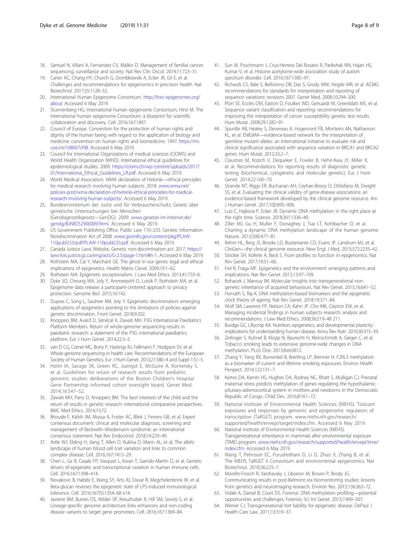- <span id="page-7-0"></span>18. Samuel N, Villani A, Fernandez CV, Malkin D. Management of familial cancer: sequencing, surveillance and society. Nat Rev Clin Oncol. 2014;11:723–31.
- 19. Carter AC, Chang HY, Church G, Dombkowski A, Ecker JR, Gil E, et al. Challenges and recommendations for epigenomics in precision health. Nat Biotechnol. 2017;35:1128–32.
- 20. International Human Epigenome Consortium. [http://ihec-epigenomes.org/](http://ihec-epigenomes.org/about) [about](http://ihec-epigenomes.org/about). Accessed 6 May 2019.
- 21. Stunnenberg HG, International human epigenome Consortium, Hirst M. The international human epigenome Consortium: a blueprint for scientific collaboration and discovery. Cell. 2016;167:1897.
- 22. Council of Europe. Convention for the protection of human rights and dignity of the human being with regard to the application of biology and medicine: convention on human rights and biomedicine. 1997. [https://rm.](https://rm.coe.int/168007cf98) [coe.int/168007cf98](https://rm.coe.int/168007cf98). Accessed 6 May 2019.
- 23. Council for International Organizations of medical sciences (CIOMS) and World Health Organization (WHO). International ethical guidelines for epidemiological studies. 2009. [https://cioms.ch/wp-content/uploads/2017/](https://cioms.ch/wp-content/uploads/2017/01/International_Ethical_Guidelines_LR.pdf) [01/International\\_Ethical\\_Guidelines\\_LR.pdf.](https://cioms.ch/wp-content/uploads/2017/01/International_Ethical_Guidelines_LR.pdf) Accessed 6 May 2019.
- 24. World Medical Association. WMA declaration of Helsinki—ethical principles for medical research involving human subjects. 2018. [www.wma.net/](http://www.wma.net/policies-post/wma-declaration-of-helsinki-ethical-principles-for-medical-research-involving-human-subjects/) [policies-post/wma-declaration-of-helsinki-ethical-principles-for-medical](http://www.wma.net/policies-post/wma-declaration-of-helsinki-ethical-principles-for-medical-research-involving-human-subjects/)[research-involving-human-subjects/](http://www.wma.net/policies-post/wma-declaration-of-helsinki-ethical-principles-for-medical-research-involving-human-subjects/). Accessed 6 May 2019.
- 25. Bundesministerium der Justiz und für Verbraucherschultz. Gesetz über genetische Untersuchungen bei Menschen (Gendiagnostikgesetz—GenDG). 2009. [www.gesetze-im-internet.de/](http://www.gesetze-im-internet.de/gendg/BJNR252900009.html) [gendg/BJNR252900009.html](http://www.gesetze-im-internet.de/gendg/BJNR252900009.html). Accessed 6 May 2019.
- 26. US Government Publishing Office. Public Law 110–233. Genetic Information Nondiscrimination Act of 2008. [www.govinfo.gov/content/pkg/PLAW-](http://www.govinfo.gov/content/pkg/PLAW-110publ233/pdf/PLAW-110publ233.pdf)[110publ233/pdf/PLAW-110publ233.pdf](http://www.govinfo.gov/content/pkg/PLAW-110publ233/pdf/PLAW-110publ233.pdf). Accessed 6 May 2019.
- 27. Canada Justice Laws Website. Genetic non-discrimination act. 2017. [https://](https://laws-lois.justice.gc.ca/eng/acts/G-2.5/page-1.html#h-1) [laws-lois.justice.gc.ca/eng/acts/G-2.5/page-1.html#h-1](https://laws-lois.justice.gc.ca/eng/acts/G-2.5/page-1.html#h-1). Accessed 6 May 2019.
- 28. Rothstein MA, Cai Y, Marchant GE. The ghost in our genes: legal and ethical implications of epigenetics. Health Matrix Clevel. 2009;19:1–62.
- 29. Rothstein MA. Epigenetic exceptionalism. J Law Med Ethics. 2013;41:733–6.
- 30. Dyke SO, Cheung WA, Joly Y, Ammerpohl O, Lutsik P, Rothstein MA, et al. Epigenome data release: a participant-centered approach to privacy protection. Genome Biol. 2015;16:142.
- 31. Dupras C, Song L, Saulnier KM, Joly Y. Epigenetic discrimination: emerging applications of epigenetics pointing to the limitations of policies against genetic discrimination. Front Genet. 2018;9:202.
- 32. Knoppers BM, Avard D, Sénécal K, Zawati MH. P3G International Paediatrics Platform Members. Return of whole-genome sequencing results in paediatric research: a statement of the P3G international paediatrics platform. Eur J Hum Genet. 2014;22:3–5.
- 33. van El CG, Cornel MC, Borry P, Hastings RJ, Fellmann F, Hodgson SV, et al. Whole-genome sequencing in health care. Recommendations of the European Society of Human Genetics. Eur J Hum Genet. 2013;21:580–4 and Suppl 1:S1–5.
- 34. Holm IA, Savage SK, Green RC, Juengst E, McGuire A, Kornetsky S, et al. Guidelines for return of research results from pediatric genomic studies: deliberations of the Boston Children's Hospital Gene Partnership informed cohort oversight board. Genet Med. 2014;16:547–52.
- 35. Zawati MH, Parry D, Knoppers BM. The best interests of the child and the return of results in genetic research: international comparative perspectives. BMC Med Ethics. 2014;15:72.
- 36. Brioude F, Kalish JM, Mussa A, Foster AC, Bliek J, Ferrero GB, et al. Expert consensus document: clinical and molecular diagnosis, screening and management of Beckwith–Wiedemann syndrome: an international consensus statement. Nat Rev Endocrinol. 2018;14:229–49.
- 37. Astle WJ, Elding H, Jiang T, Allen D, Ruklisa D, Mann AL, et al. The allelic landscape of human blood cell trait variation and links to common complex disease. Cell. 2016;167:1415–29.
- 38. Chen L, Ge B, Casale FP, Vasquez L, Kwan T, Garrido-Martin D, et al. Genetic drivers of epigenetic and transcriptional variation in human immune cells. Cell. 2016;167:1398–414.
- 39. Novakovic B, Habibi E, Wang SY, Arts RJ, Davar R, Megchelenbrink W, et al. Beta-glucan reverses the epigenetic state of LPS-induced immunological tolerance. Cell. 2016;167(5):1354–68 e14.
- 40. Javierre BM, Burren OS, Wilder SP, Kreuzhuber R, Hill SM, Sewitz S, et al. Lineage-specific genome architecture links enhancers and non-coding disease variants to target gene promoters. Cell. 2016;167:1369–84.
- 41. Sun W, Poschmann J, Cruz-Herrera Del Rosario R, Parikshak NN, Hajan HS, Kumar V, et al. Histone acetylome-wide association study of autism spectrum disorder. Cell. 2016;167:1385–97.
- 42. Richards CS, Bale S, Bellissimo DB, Das S, Grody WW, Hegde MR, et al. ACMG recommendations for standards for interpretation and reporting of sequence variations: revisions 2007. Genet Med. 2008;10:294–300.
- 43. Plon SE, Eccles DM, Easton D, Foulkes WD, Genuardi M, Greenblatt MS, et al. Sequence variant classification and reporting: recommendations for improving the interpretation of cancer susceptibility genetic test results. Hum Mutat. 2008;29:1282–91.
- 44. Spurdle AB, Healey S, Devereau A, Hogervorst FB, Monteiro AN, Nathanson KL, et al. ENIGMA—evidence-based network for the interpretation of germline mutant alleles: an international initiative to evaluate risk and clinical significance associated with sequence variation in BRCA1 and BRCA2 genes. Hum Mutat. 2012;33:2–7.
- 45. Claustres M, Kozich V, Dequeker E, Fowler B, Hehir-Kwa JY, Miller K, et al. Recommendations for reporting results of diagnostic genetic testing (biochemical, cytogenetic and molecular genetic). Eur J Hum Genet. 2014;22:160–70.
- 46. Strande NT, Riggs ER, Buchanan AH, Ceyhan-Birsoy O, DiStefano M, Dwight SS, et al. Evaluating the clinical validity of gene-disease associations: an evidence-based framework developed by the clinical genome resource. Am J Human Genet. 2017;100:895–906.
- 47. Luo C, Hajkova P, Ecker JR. Dynamic DNA methylation: in the right place at the right time. Science. 2018;361:1336–40.
- 48. Ziller MJ, Gu H, Muller F, Donaghey J, Tsai LT, Kohlbacher O, et al. Charting a dynamic DNA methylation landscape of the human genome. Nature. 2013;500:477–81.
- 49. Rehm HL, Berg JS, Brooks LD, Bustamante CD, Evans JP, Landrum MJ, et al. ClinGen—the clinical genome resource. New Engl J Med. 2015;372:2235–42.
- 50. Stricker SH, Koferle A, Beck S. From profiles to function in epigenomics. Nat Rev Genet. 2017;18:51–66.
- 51. Feil R, Fraga MF. Epigenetics and the environment: emerging patterns and implications. Nat Rev Genet. 2012;13:97–109.
- 52. Bohacek J, Mansuy IM. Molecular insights into transgenerational nongenetic inheritance of acquired behaviours. Nat Rev Genet. 2015;16:641–52.
- 53. Horvath S, Raj K. DNA methylation-based biomarkers and the epigenetic clock theory of ageing. Nat Rev Genet. 2018;19:371–84.
- 54. Wolf SM, Lawrenz FP, Nelson CA, Kahn JP, Cho MK, Clayton EW, et al. Managing incidental findings in human subjects research: analysis and recommendations. J Law Med Ethics. 2008;36:219–48 211.
- 55. Burdge GC, Lillycrop KA. Nutrition, epigenetics, and developmental plasticity: implications for understanding human disease. Annu Rev Nutr. 2010;30:315–39.
- 56. Zeilinger S, Kuhnel B, Klopp N, Baurecht H, Kleinschmidt A, Gieger C, et al. Tobacco smoking leads to extensive genome-wide changes in DNA methylation. PLoS One. 2013;8:e63812.
- 57. Zhang Y, Yang RX, Burwinkel B, Breitling LP, Brenner H. F2RL3 methylation as a biomarker of current and lifetime smoking exposures. Environ Health Perspect. 2014;122:131–7.
- 58. Kertes DA, Kamin HS, Hughes DA, Rodney NC, Bhatt S, Mulligan CJ. Prenatal maternal stress predicts methylation of genes regulating the hypothalamicpituitary-adrenocortical system in mothers and newborns in the Democratic Republic of Congo. Child Dev. 2016;87:61–72.
- 59. National Institute of Environmental Health Sciences (NIEHS). Toxicant exposures and responses by genomic and epigenomic regulators of transcription (TaRGET) program. www.niehs.nih.gov/research/ supported/health/envepi/target/index.cfm. Accessed 6 May 2019.
- 60. National Institute of Environmental Health Sciences (NIEHS). Transgenerational inheritance in mammals after environmental exposure (TIME) program. [www.niehs.nih.gov/research/supported/health/envepi/time/](http://www.niehs.nih.gov/research/supported/health/envepi/time/index.cfm) [index.cfm](http://www.niehs.nih.gov/research/supported/health/envepi/time/index.cfm). Accessed 6 May 2019.
- 61. Wang T, Pehrsson EC, Purushotham D, Li D, Zhuo X, Zhang B, et al. The NIEHS TaRGET II Consortium and environmental epigenomics. Nat Biotechnol. 2018;36:225–7.
- 62. Morello-Frosch R, Varshavsky J, Liboiron M, Brown P, Brody JG. Communicating results in post-Belmont era biomonitoring studies: lessons from genetics and neuroimaging research. Environ Res. 2015;136:363–72.
- 63. Vidaki A, Daniel B, Court DS. Forensic DNA methylation profiling—potential opportunities and challenges. Forensic Sci Int Genet. 2013;7:499–507.
- 64. Wiener CJ. Transgenerational tort liability for epigenetic disease. DePaul J Health Care Law. 2011;13:319–37.